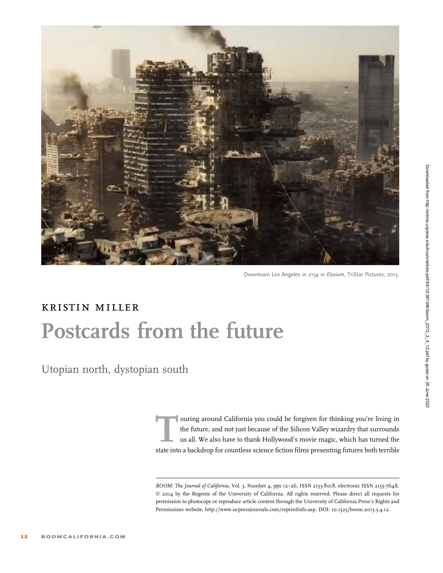

Downtown Los Angeles in 2154 in Elysium, TriStar Pictures, 2013.

## kristin miller Postcards from the future

Utopian north, dystopian south

ouring around California you could be forgiven for thinking you're living in the future, and not just because of the Silicon Valley wizardry that surrounds us all. We also have to thank Hollywood's movie magic, which has turned the state into a backdrop for countless science fiction films presenting futures both terrible

BOOM: The Journal of California, Vol. 3, Number 4, pps 12-26, ISSN 2153-8018, electronic ISSN 2153-764X. © 2014 by the Regents of the University of California. All rights reserved. Please direct all requests for permission to photocopy or reproduce article content through the University of California Press's Rights and Permissions website, http://www.ucpressjournals.com/reprintInfo.asp. DOI: 10.1525/boom.2013.3.4.12.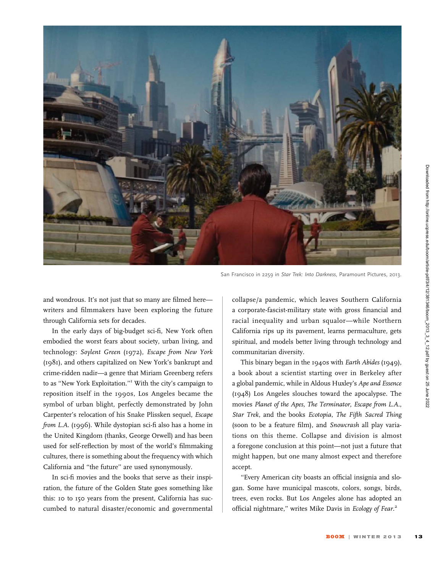

San Francisco in 2259 in Star Trek: Into Darkness, Paramount Pictures, 2013.

and wondrous. It's not just that so many are filmed here writers and filmmakers have been exploring the future through California sets for decades.

In the early days of big-budget sci-fi, New York often embodied the worst fears about society, urban living, and technology: Soylent Green (1972), Escape from New York (1981), and others capitalized on New York's bankrupt and crime-ridden nadir—a genre that Miriam Greenberg refers to as ''New York Exploitation.''<sup>1</sup> With the city's campaign to reposition itself in the 1990s, Los Angeles became the symbol of urban blight, perfectly demonstrated by John Carpenter's relocation of his Snake Plissken sequel, Escape from L.A. (1996). While dystopian sci-fi also has a home in the United Kingdom (thanks, George Orwell) and has been used for self-reflection by most of the world's filmmaking cultures, there is something about the frequency with which California and ''the future'' are used synonymously.

In sci-fi movies and the books that serve as their inspiration, the future of the Golden State goes something like this: 10 to 150 years from the present, California has succumbed to natural disaster/economic and governmental collapse/a pandemic, which leaves Southern California a corporate-fascist-military state with gross financial and racial inequality and urban squalor—while Northern California rips up its pavement, learns permaculture, gets spiritual, and models better living through technology and communitarian diversity.

This binary began in the 1940s with Earth Abides (1949), a book about a scientist starting over in Berkeley after a global pandemic, while in Aldous Huxley's Ape and Essence (1948) Los Angeles slouches toward the apocalypse. The movies Planet of the Apes, The Terminator, Escape from L.A., Star Trek, and the books Ecotopia, The Fifth Sacred Thing (soon to be a feature film), and Snowcrash all play variations on this theme. Collapse and division is almost a foregone conclusion at this point—not just a future that might happen, but one many almost expect and therefore accept.

''Every American city boasts an official insignia and slogan. Some have municipal mascots, colors, songs, birds, trees, even rocks. But Los Angeles alone has adopted an official nightmare," writes Mike Davis in Ecology of Fear.<sup>2</sup>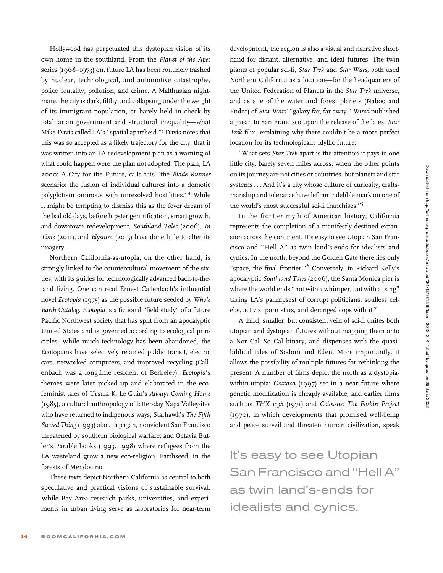Hollywood has perpetuated this dystopian vision of its own home in the southland. From the Planet of the Apes series (1968–1973) on, future LA has been routinely trashed by nuclear, technological, and automotive catastrophe, police brutality, pollution, and crime. A Malthusian nightmare, the city is dark, filthy, and collapsing under the weight of its immigrant population, or barely held in check by totalitarian government and structural inequality—what Mike Davis called LA's ''spatial apartheid.''<sup>3</sup> Davis notes that this was so accepted as a likely trajectory for the city, that it was written into an LA redevelopment plan as a warning of what could happen were the plan not adopted. The plan, LA 2000: A City for the Future, calls this ''the Blade Runner scenario: the fusion of individual cultures into a demotic polyglotism ominous with unresolved hostilities.''<sup>4</sup> While it might be tempting to dismiss this as the fever dream of the bad old days, before hipster gentrification, smart growth, and downtown redevelopment, Southland Tales (2006), In Time (2011), and Elysium (2013) have done little to alter its imagery.

Northern California-as-utopia, on the other hand, is strongly linked to the countercultural movement of the sixties, with its guides for technologically advanced back-to-theland living. One can read Ernest Callenbach's influential novel Ecotopia (1975) as the possible future seeded by Whole Earth Catalog. Ecotopia is a fictional ''field study'' of a future Pacific Northwest society that has split from an apocalyptic United States and is governed according to ecological principles. While much technology has been abandoned, the Ecotopians have selectively retained public transit, electric cars, networked computers, and improved recycling (Callenbach was a longtime resident of Berkeley). Ecotopia's themes were later picked up and elaborated in the ecofeminist tales of Ursula K. Le Guin's Always Coming Home (1985), a cultural anthropology of latter-day Napa Valley-ites who have returned to indigenous ways; Starhawk's The Fifth Sacred Thing (1993) about a pagan, nonviolent San Francisco threatened by southern biological warfare; and Octavia Butler's Parable books (1993, 1998) where refugees from the LA wasteland grow a new eco-religion, Earthseed, in the forests of Mendocino.

These texts depict Northern California as central to both speculative and practical visions of sustainable survival. While Bay Area research parks, universities, and experiments in urban living serve as laboratories for near-term development, the region is also a visual and narrative shorthand for distant, alternative, and ideal futures. The twin giants of popular sci-fi, Star Trek and Star Wars, both used Northern California as a location—for the headquarters of the United Federation of Planets in the Star Trek universe, and as site of the water and forest planets (Naboo and Endor) of Star Wars' ''galaxy far, far away.'' Wired published a paean to San Francisco upon the release of the latest Star Trek film, explaining why there couldn't be a more perfect location for its technologically idyllic future:

''What sets Star Trek apart is the attention it pays to one little city, barely seven miles across, when the other points on its journey are not cities or countries, but planets and star systems ... And it's a city whose culture of curiosity, craftsmanship and tolerance have left an indelible mark on one of the world's most successful sci-fi franchises.''5

In the frontier myth of American history, California represents the completion of a manifestly destined expansion across the continent. It's easy to see Utopian San Francisco and ''Hell A'' as twin land's-ends for idealists and cynics. In the north, beyond the Golden Gate there lies only "space, the final frontier."<sup>6</sup> Conversely, in Richard Kelly's apocalyptic Southland Tales (2006), the Santa Monica pier is where the world ends ''not with a whimper, but with a bang'' taking LA's palimpsest of corrupt politicians, soulless celebs, activist porn stars, and deranged cops with it.<sup>7</sup>

A third, smaller, but consistent vein of sci-fi unites both utopian and dystopian futures without mapping them onto a Nor Cal–So Cal binary, and dispenses with the quasibiblical tales of Sodom and Eden. More importantly, it allows the possibility of multiple futures for rethinking the present. A number of films depict the north as a dystopiawithin-utopia: Gattaca (1997) set in a near future where genetic modification is cheaply available, and earlier films such as THX 1138 (1971) and Colossus: The Forbin Project (1970), in which developments that promised well-being and peace surveil and threaten human civilization, speak

It's easy to see Utopian San Francisco and ''Hell A'' as twin land's-ends for idealists and cynics.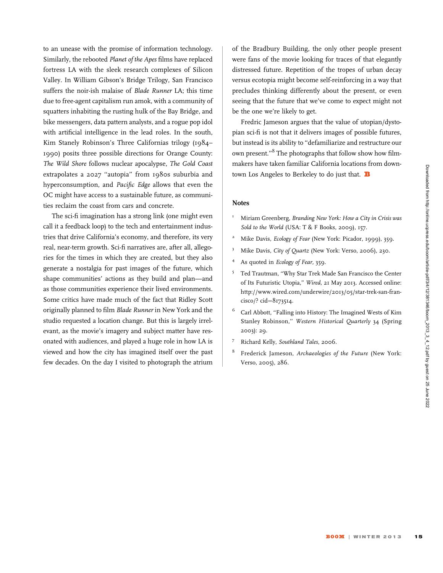to an unease with the promise of information technology. Similarly, the rebooted Planet of the Apes films have replaced fortress LA with the sleek research complexes of Silicon Valley. In William Gibson's Bridge Trilogy, San Francisco suffers the noir-ish malaise of Blade Runner LA; this time due to free-agent capitalism run amok, with a community of squatters inhabiting the rusting hulk of the Bay Bridge, and bike messengers, data pattern analysts, and a rogue pop idol with artificial intelligence in the lead roles. In the south, Kim Stanely Robinson's Three Californias trilogy (1984– 1990) posits three possible directions for Orange County: The Wild Shore follows nuclear apocalypse, The Gold Coast extrapolates a 2027 ''autopia'' from 1980s suburbia and hyperconsumption, and Pacific Edge allows that even the OC might have access to a sustainable future, as communities reclaim the coast from cars and concrete.

The sci-fi imagination has a strong link (one might even call it a feedback loop) to the tech and entertainment industries that drive California's economy, and therefore, its very real, near-term growth. Sci-fi narratives are, after all, allegories for the times in which they are created, but they also generate a nostalgia for past images of the future, which shape communities' actions as they build and plan—and as those communities experience their lived environments. Some critics have made much of the fact that Ridley Scott originally planned to film Blade Runner in New York and the studio requested a location change. But this is largely irrelevant, as the movie's imagery and subject matter have resonated with audiences, and played a huge role in how LA is viewed and how the city has imagined itself over the past few decades. On the day I visited to photograph the atrium

of the Bradbury Building, the only other people present were fans of the movie looking for traces of that elegantly distressed future. Repetition of the tropes of urban decay versus ecotopia might become self-reinforcing in a way that precludes thinking differently about the present, or even seeing that the future that we've come to expect might not be the one we're likely to get.

Fredric Jameson argues that the value of utopian/dystopian sci-fi is not that it delivers images of possible futures, but instead is its ability to ''defamiliarize and restructure our own present.''8 The photographs that follow show how filmmakers have taken familiar California locations from downtown Los Angeles to Berkeley to do just that. **B** 

## **Notes**

- <sup>1</sup> Miriam Greenberg, Branding New York: How a City in Crisis was Sold to the World (USA: T & F Books, 2009), 157.
- <sup>2</sup> Mike Davis, *Ecology of Fear* (New York: Picador, 1999), 359.
- <sup>3</sup> Mike Davis, City of Quartz (New York: Verso, 2006), 230.
- As quoted in Ecology of Fear, 359.
- <sup>5</sup> Ted Trautman, "Why Star Trek Made San Francisco the Center of Its Futuristic Utopia,'' Wired, 21 May 2013. Accessed online: http://www.wired.com/underwire/2013/05/star-trek-san-fran $cisco$ ?  $cid = 8173514$ .
- <sup>6</sup> Carl Abbott, ''Falling into History: The Imagined Wests of Kim Stanley Robinson,'' Western Historical Quarterly 34 (Spring 2003): 29.
- <sup>7</sup> Richard Kelly, Southland Tales, 2006.
- <sup>8</sup> Frederick Jameson, Archaeologies of the Future (New York: Verso, 2005), 286.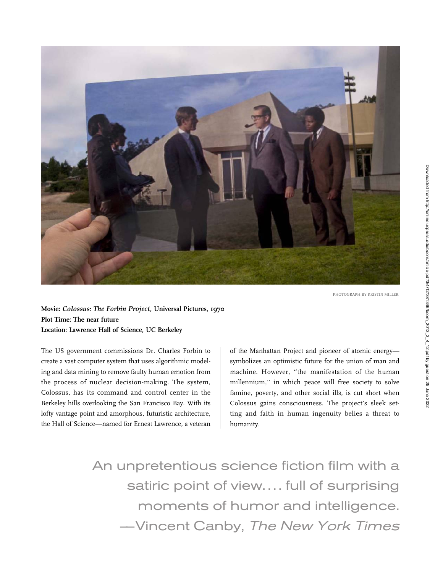

PHOTOGRAPH BY KRISTIN MILLER.

Movie: Colossus: The Forbin Project, Universal Pictures, 1970 Plot Time: The near future Location: Lawrence Hall of Science, UC Berkeley

The US government commissions Dr. Charles Forbin to create a vast computer system that uses algorithmic modeling and data mining to remove faulty human emotion from the process of nuclear decision-making. The system, Colossus, has its command and control center in the Berkeley hills overlooking the San Francisco Bay. With its lofty vantage point and amorphous, futuristic architecture, the Hall of Science—named for Ernest Lawrence, a veteran

of the Manhattan Project and pioneer of atomic energy symbolizes an optimistic future for the union of man and machine. However, ''the manifestation of the human millennium,'' in which peace will free society to solve famine, poverty, and other social ills, is cut short when Colossus gains consciousness. The project's sleek setting and faith in human ingenuity belies a threat to humanity.

An unpretentious science fiction film with a satiric point of view.... full of surprising moments of humor and intelligence. –—Vincent Canby, The New York Times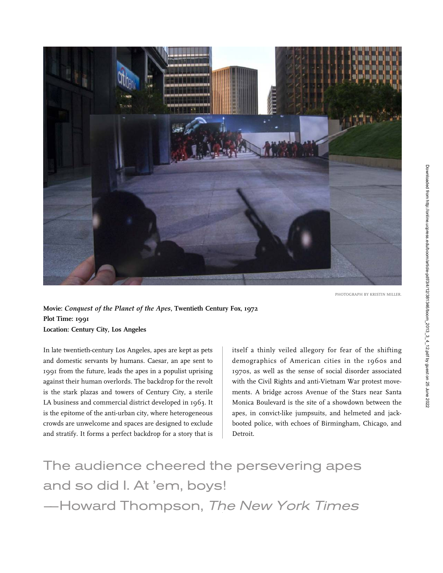

PHOTOGRAPH BY KRISTIN MILLER.

Movie: Conquest of the Planet of the Apes, Twentieth Century Fox, 1972 Plot Time: 1991 Location: Century City, Los Angeles

In late twentieth-century Los Angeles, apes are kept as pets and domestic servants by humans. Caesar, an ape sent to 1991 from the future, leads the apes in a populist uprising against their human overlords. The backdrop for the revolt is the stark plazas and towers of Century City, a sterile LA business and commercial district developed in 1963. It is the epitome of the anti-urban city, where heterogeneous crowds are unwelcome and spaces are designed to exclude and stratify. It forms a perfect backdrop for a story that is

itself a thinly veiled allegory for fear of the shifting demographics of American cities in the 1960s and 1970s, as well as the sense of social disorder associated with the Civil Rights and anti-Vietnam War protest movements. A bridge across Avenue of the Stars near Santa Monica Boulevard is the site of a showdown between the apes, in convict-like jumpsuits, and helmeted and jackbooted police, with echoes of Birmingham, Chicago, and Detroit.

The audience cheered the persevering apes and so did I. At 'em, boys! –—Howard Thompson, The New York Times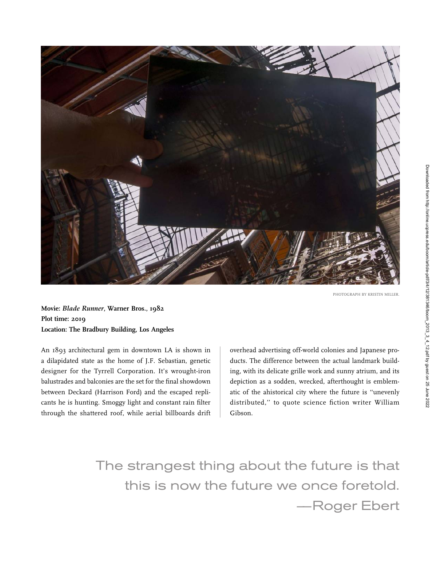

PHOTOGRAPH BY KRISTIN MILLER.

Movie: Blade Runner, Warner Bros., 1982 Plot time: 2019 Location: The Bradbury Building, Los Angeles

An 1893 architectural gem in downtown LA is shown in a dilapidated state as the home of J.F. Sebastian, genetic designer for the Tyrrell Corporation. It's wrought-iron balustrades and balconies are the set for the final showdown between Deckard (Harrison Ford) and the escaped replicants he is hunting. Smoggy light and constant rain filter through the shattered roof, while aerial billboards drift overhead advertising off-world colonies and Japanese products. The difference between the actual landmark building, with its delicate grille work and sunny atrium, and its depiction as a sodden, wrecked, afterthought is emblematic of the ahistorical city where the future is ''unevenly distributed,'' to quote science fiction writer William Gibson.

The strangest thing about the future is that this is now the future we once foretold. –—Roger Ebert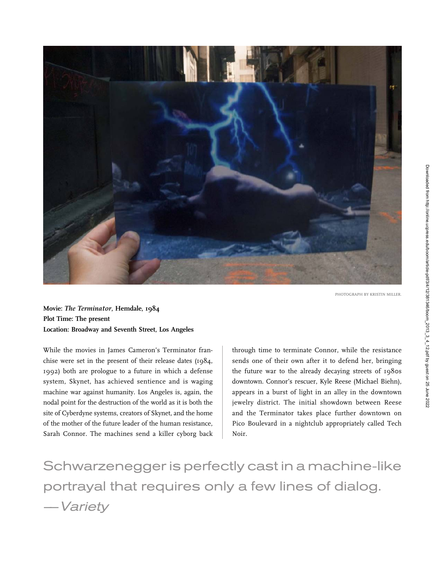

PHOTOGRAPH BY KRISTIN MILLER.

Movie: The Terminator, Hemdale, 1984 Plot Time: The present Location: Broadway and Seventh Street, Los Angeles

While the movies in James Cameron's Terminator franchise were set in the present of their release dates (1984, 1992) both are prologue to a future in which a defense system, Skynet, has achieved sentience and is waging machine war against humanity. Los Angeles is, again, the nodal point for the destruction of the world as it is both the site of Cyberdyne systems, creators of Skynet, and the home of the mother of the future leader of the human resistance, Sarah Connor. The machines send a killer cyborg back through time to terminate Connor, while the resistance sends one of their own after it to defend her, bringing the future war to the already decaying streets of 1980s downtown. Connor's rescuer, Kyle Reese (Michael Biehn), appears in a burst of light in an alley in the downtown jewelry district. The initial showdown between Reese and the Terminator takes place further downtown on Pico Boulevard in a nightclub appropriately called Tech Noir.

Schwarzenegger is perfectly cast in a machine-like portrayal that requires only a few lines of dialog. –—Variety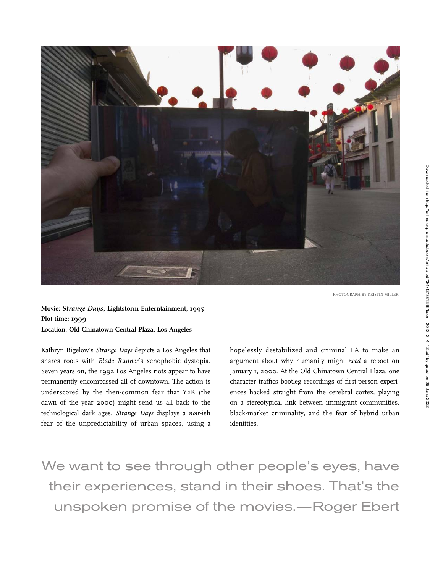

Movie: Strange Days, Lightstorm Enterntainment, 1995 Plot time: 1999 Location: Old Chinatown Central Plaza, Los Angeles

Kathryn Bigelow's Strange Days depicts a Los Angeles that shares roots with Blade Runner's xenophobic dystopia. Seven years on, the 1992 Los Angeles riots appear to have permanently encompassed all of downtown. The action is underscored by the then-common fear that Y2K (the dawn of the year 2000) might send us all back to the technological dark ages. Strange Days displays a noir-ish fear of the unpredictability of urban spaces, using a

hopelessly destabilized and criminal LA to make an argument about why humanity might need a reboot on January 1, 2000. At the Old Chinatown Central Plaza, one character traffics bootleg recordings of first-person experiences hacked straight from the cerebral cortex, playing on a stereotypical link between immigrant communities, black-market criminality, and the fear of hybrid urban identities.

We want to see through other people's eyes, have their experiences, stand in their shoes. That's the unspoken promise of the movies.–—Roger Ebert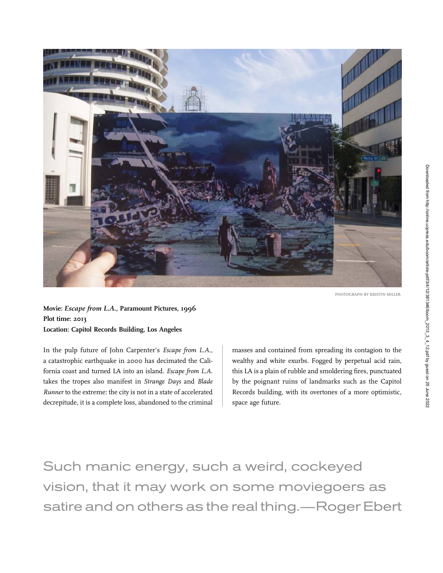

PHOTOGRAPH BY KRISTIN MILLER.

Movie: Escape from L.A., Paramount Pictures, 1996 Plot time: 2013 Location: Capitol Records Building, Los Angeles

In the pulp future of John Carpenter's Escape from L.A., a catastrophic earthquake in 2000 has decimated the California coast and turned LA into an island. Escape from L.A. takes the tropes also manifest in Strange Days and Blade Runner to the extreme: the city is not in a state of accelerated decrepitude, it is a complete loss, abandoned to the criminal masses and contained from spreading its contagion to the wealthy and white exurbs. Fogged by perpetual acid rain, this LA is a plain of rubble and smoldering fires, punctuated by the poignant ruins of landmarks such as the Capitol Records building, with its overtones of a more optimistic, space age future.

Such manic energy, such a weird, cockeyed vision, that it may work on some moviegoers as satire and on others as the real thing.—Roger Ebert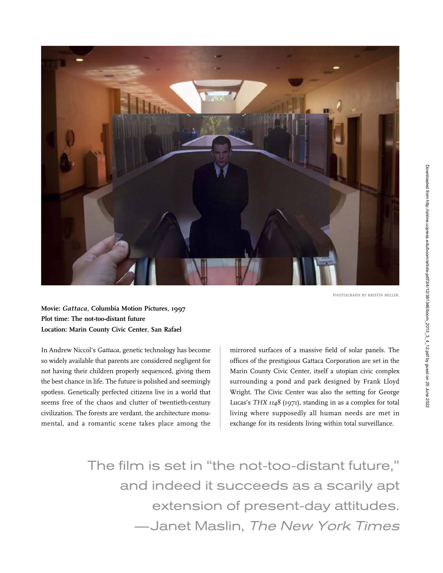

Movie: Gattaca, Columbia Motion Pictures, 1997 Plot time: The not-too-distant future Location: Marin County Civic Center, San Rafael

In Andrew Niccol's Gattaca, genetic technology has become so widely available that parents are considered negligent for not having their children properly sequenced, giving them the best chance in life. The future is polished and seemingly spotless. Genetically perfected citizens live in a world that seems free of the chaos and clutter of twentieth-century civilization. The forests are verdant, the architecture monumental, and a romantic scene takes place among the

mirrored surfaces of a massive field of solar panels. The offices of the prestigious Gattaca Corporation are set in the Marin County Civic Center, itself a utopian civic complex surrounding a pond and park designed by Frank Lloyd Wright. The Civic Center was also the setting for George Lucas's THX 1148 (1971), standing in as a complex for total living where supposedly all human needs are met in exchange for its residents living within total surveillance.

The film is set in ''the not-too-distant future,'' and indeed it succeeds as a scarily apt extension of present-day attitudes. –—Janet Maslin, The New York Times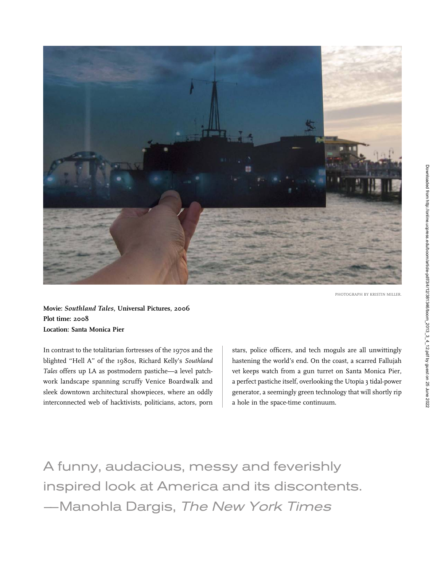

Movie: Southland Tales, Universal Pictures, 2006 Plot time: 2008 Location: Santa Monica Pier

In contrast to the totalitarian fortresses of the 1970s and the blighted ''Hell A'' of the 1980s, Richard Kelly's Southland Tales offers up LA as postmodern pastiche—a level patchwork landscape spanning scruffy Venice Boardwalk and sleek downtown architectural showpieces, where an oddly interconnected web of hacktivists, politicians, actors, porn stars, police officers, and tech moguls are all unwittingly hastening the world's end. On the coast, a scarred Fallujah vet keeps watch from a gun turret on Santa Monica Pier, a perfect pastiche itself, overlooking the Utopia 3 tidal-power generator, a seemingly green technology that will shortly rip a hole in the space-time continuum.

A funny, audacious, messy and feverishly inspired look at America and its discontents. –—Manohla Dargis, The New York Times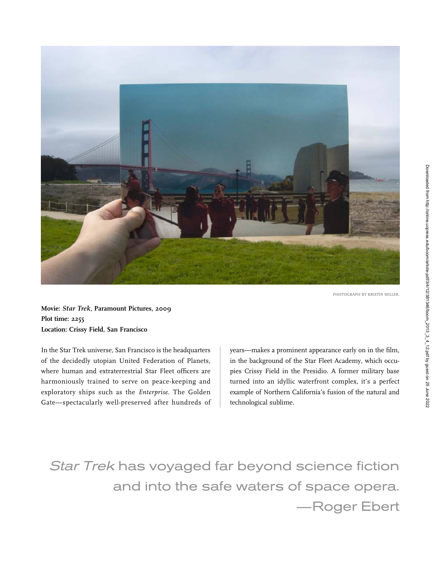

PHOTOGRAPH BY KRISTIN MILLER.

Movie: Star Trek, Paramount Pictures, 2009 Plot time: 2255 Location: Crissy Field, San Francisco

In the Star Trek universe, San Francisco is the headquarters of the decidedly utopian United Federation of Planets, where human and extraterrestrial Star Fleet officers are harmoniously trained to serve on peace-keeping and exploratory ships such as the Enterprise. The Golden Gate—spectacularly well-preserved after hundreds of years—makes a prominent appearance early on in the film, in the background of the Star Fleet Academy, which occupies Crissy Field in the Presidio. A former military base turned into an idyllic waterfront complex, it's a perfect example of Northern California's fusion of the natural and technological sublime.

Star Trek has voyaged far beyond science fiction and into the safe waters of space opera. –—Roger Ebert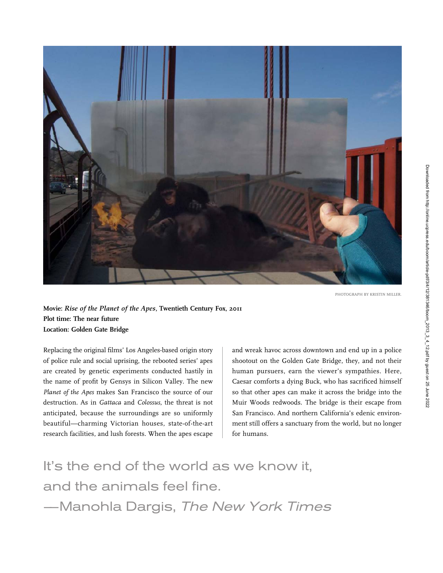

PHOTOGRAPH BY KRISTIN MILLER.

Movie: Rise of the Planet of the Apes, Twentieth Century Fox, 2011 Plot time: The near future Location: Golden Gate Bridge

Replacing the original films' Los Angeles-based origin story of police rule and social uprising, the rebooted series' apes are created by genetic experiments conducted hastily in the name of profit by Gensys in Silicon Valley. The new Planet of the Apes makes San Francisco the source of our destruction. As in Gattaca and Colossus, the threat is not anticipated, because the surroundings are so uniformly beautiful—charming Victorian houses, state-of-the-art research facilities, and lush forests. When the apes escape

and wreak havoc across downtown and end up in a police shootout on the Golden Gate Bridge, they, and not their human pursuers, earn the viewer's sympathies. Here, Caesar comforts a dying Buck, who has sacrificed himself so that other apes can make it across the bridge into the Muir Woods redwoods. The bridge is their escape from San Francisco. And northern California's edenic environment still offers a sanctuary from the world, but no longer for humans.

It's the end of the world as we know it, and the animals feel fine. –—Manohla Dargis, The New York Times